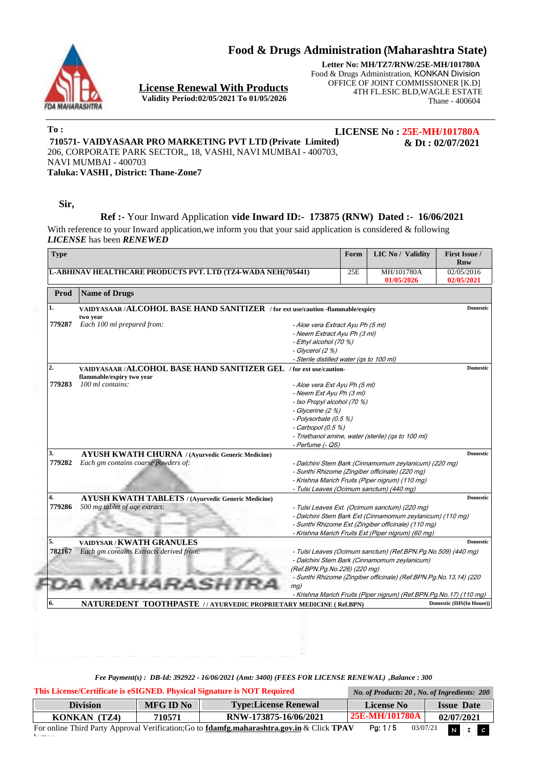**Food & Drugs Administration** (**Maharashtra State**)



**License Renewal With Products Validity Period:02/05/2021 To 01/05/2026**

**Letter No: MH/TZ7/RNW/25E-MH/101780A** Food & Drugs Administration, KONKAN Division OFFICE OF JOINT COMMISSIONER [K.D] 4TH FL.ESIC BLD,WAGLE ESTATE Thane - 400604

**To :**

**LICENSE No : 25E-MH/101780A**

**& Dt : 02/07/2021**

**710571- VAIDYASAAR PRO MARKETING PVT LTD (Private Limited)** 206, CORPORATE PARK SECTOR,, 18, VASHI, NAVI MUMBAI - 400703, NAVI MUMBAI - 400703

**Taluka: VASHI , District: Thane-Zone7**

**Sir,**

i.

### **Ref :-** Your Inward Application **vide Inward ID:- 173875 (RNW) Dated :- 16/06/2021**

With reference to your Inward application, we inform you that your said application is considered & following *LICENSE* has been *RENEWED*

| <b>Type</b>  |                                                                                                 |                                                                                                                                                                                    | Form | <b>LIC No / Validity</b>                                                                                                                                                                                                | <b>First Issue /</b><br>Rnw |
|--------------|-------------------------------------------------------------------------------------------------|------------------------------------------------------------------------------------------------------------------------------------------------------------------------------------|------|-------------------------------------------------------------------------------------------------------------------------------------------------------------------------------------------------------------------------|-----------------------------|
|              | <b>L-ABHINAV HEALTHCARE PRODUCTS PVT. LTD (TZ4-WADA NEH(705441)</b>                             |                                                                                                                                                                                    | 25E  | MH/101780A<br>01/05/2026                                                                                                                                                                                                | 02/05/2016<br>02/05/2021    |
| Prod         | <b>Name of Drugs</b>                                                                            |                                                                                                                                                                                    |      |                                                                                                                                                                                                                         |                             |
| 1.           | VAIDYASAAR/ALCOHOL BASE HAND SANITIZER / for ext use/caution -flammable/expiry<br>two year      |                                                                                                                                                                                    |      |                                                                                                                                                                                                                         | <b>Domestic</b>             |
| 779287       | Each 100 ml prepared from:                                                                      | - Aloe vera Extract Ayu Ph (5 ml)<br>- Neem Extract Ayu Ph (3 ml)<br>- Ethyl alcohol (70 %)<br>- Glycerol (2 %)                                                                    |      |                                                                                                                                                                                                                         |                             |
| 2.           | VAIDYASAAR/ALCOHOL BASE HAND SANITIZER GEL / for ext use/caution-<br>flammable/expiry two year  | - Sterile distilled water (qs to 100 ml)                                                                                                                                           |      |                                                                                                                                                                                                                         | <b>Domestic</b>             |
| 779283       | 100 ml contains:                                                                                | - Aloe vera Ext Ayu Ph (5 ml)<br>- Neem Ext Ayu Ph (3 ml)<br>- Iso Propyl alcohol (70 %)<br>- Glycerine (2 %)<br>- Polysorbate (0.5 %)<br>$-$ Carbopol (0.5 %)<br>- Perfume (- QS) |      | - Triethanol amine, water (sterile) (qs to 100 ml)                                                                                                                                                                      |                             |
| 3.<br>779282 | <b>AYUSH KWATH CHURNA</b> / (Avurvedic Generic Medicine)<br>Each gm contains coarse powders of: |                                                                                                                                                                                    |      | - Dalchini Stem Bark (Cinnamomum zeylanicum) (220 mg)<br>- Sunthi Rhizome (Zingiber officinale) (220 mg)<br>- Krishna Marich Fruits (Piper nigrum) (110 mg)<br>- Tulsi Leaves (Ocimum sanctum) (440 mg)                 | <b>Domestic</b>             |
| 4.<br>779286 | <b>AYUSH KWATH TABLETS / (Ayurvedic Generic Medicine)</b><br>500 mg tablet of age extract:      |                                                                                                                                                                                    |      | - Tulsi Leaves Ext. (Ocimum sanctum) (220 mg)<br>- Dalchini Stem Bark Ext (Cinnamomum zeylanicum) (110 mg)<br>- Sunthi Rhizome Ext (Zingiber officinale) (110 mg)<br>- Krishna Marich Fruits Ext (Piper nigrum) (60 mg) | <b>Domestic</b>             |
| 5.<br>782167 | <b>VAIDYSAR/KWATH GRANULES</b><br>Each gm contains Extracts derived from:                       | (Ref.BPN.Pg.No.226) (220 mg)                                                                                                                                                       |      | - Tulsi Leaves (Ocimum sanctum) (Ref.BPN.Pg.No.509) (440 mg)<br>- Dalchini Stem Bark (Cinnamomum zeylanicum)                                                                                                            | <b>Domestic</b>             |
| 6.           | NATUREDENT TOOTHPASTE // AYURVEDIC PROPRIETARY MEDICINE (Ref.BPN)                               | mg)                                                                                                                                                                                |      | - Sunthi Rhizome (Zingiber officinale) (Ref.BPN.Pg.No.13,14) (220<br>- Krishna Marich Fruits (Piper nigrum) (Ref.BPN.Pg.No.17) (110 mg)                                                                                 | Domestic (IHS(In House))    |

| This License/Certificate is eSIGNED. Physical Signature is NOT Required                                                                                             | No. of Products: 20, No. of Ingredients: 200 |                             |                   |                   |  |  |
|---------------------------------------------------------------------------------------------------------------------------------------------------------------------|----------------------------------------------|-----------------------------|-------------------|-------------------|--|--|
| <b>Division</b>                                                                                                                                                     | <b>MFG ID No</b>                             | <b>Type:License Renewal</b> | <b>License No</b> | <b>Issue Date</b> |  |  |
| KONKAN (TZ4)                                                                                                                                                        | 710571                                       | RNW-173875-16/06/2021       | 25E-MH/101780A    | 02/07/2021        |  |  |
| Pa: 1/5<br>$N$ $\Box$ $c$<br>For online Third Party Approval Verification; Go to <b>fdamfg.maharashtra.gov.in</b> & Click <b>TPAV</b><br>03/07/21<br>$1 - \epsilon$ |                                              |                             |                   |                   |  |  |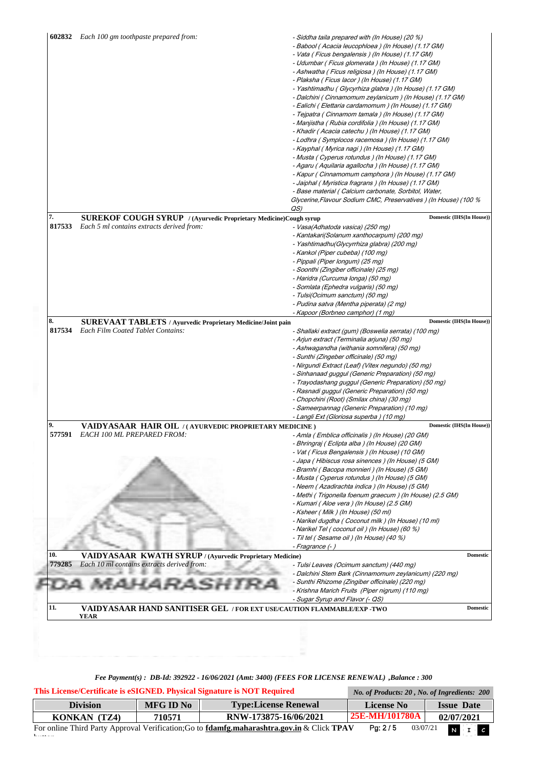|              |                                                                                                                            | - Siddha taila prepared with (In House) (20 %)<br>- Babool (Acacia leucophloea ) (In House) (1.17 GM)<br>- Vata (Ficus bengalensis) (In House) (1.17 GM)<br>- Udumbar (Ficus glomerata ) (In House) (1.17 GM)<br>- Ashwatha (Ficus religiosa ) (In House) (1.17 GM)<br>- Plaksha (Ficus lacor) (In House) (1.17 GM)<br>- Yashtimadhu (Glycyrhiza glabra ) (In House) (1.17 GM)<br>- Dalchini (Cinnamomum zeylanicum) (In House) (1.17 GM)<br>- Ealichi ( Elettaria cardamomum ) (In House) (1.17 GM)<br>- Tejpatra ( Cinnamom tamala ) (In House) (1.17 GM)<br>- Manjistha (Rubia cordifolia ) (In House) (1.17 GM)<br>- Khadir (Acacia catechu ) (In House) (1.17 GM)<br>- Lodhra (Symplocos racemosa) (In House) (1.17 GM)<br>- Kayphal ( Myrica nagi ) (In House) (1.17 GM)<br>- Musta (Cyperus rotundus) (In House) (1.17 GM)<br>- Agaru (Aquilaria agallocha ) (In House) (1.17 GM)<br>- Kapur (Cinnamomum camphora) (In House) (1.17 GM)<br>- Jaiphal (Myristica fragrans) (In House) (1.17 GM)<br>- Base material (Calcium carbonate, Sorbitol, Water,<br>Glycerine, Flavour Sodium CMC, Preservatives ) (In House) (100 %<br>QS) |                 |
|--------------|----------------------------------------------------------------------------------------------------------------------------|------------------------------------------------------------------------------------------------------------------------------------------------------------------------------------------------------------------------------------------------------------------------------------------------------------------------------------------------------------------------------------------------------------------------------------------------------------------------------------------------------------------------------------------------------------------------------------------------------------------------------------------------------------------------------------------------------------------------------------------------------------------------------------------------------------------------------------------------------------------------------------------------------------------------------------------------------------------------------------------------------------------------------------------------------------------------------------------------------------------------------------------|-----------------|
| 7.           | SUREKOF COUGH SYRUP / (Ayurvedic Proprietary Medicine)Cough syrup                                                          | Domestic (IHS(In House))                                                                                                                                                                                                                                                                                                                                                                                                                                                                                                                                                                                                                                                                                                                                                                                                                                                                                                                                                                                                                                                                                                                 |                 |
| 817533       | Each 5 ml contains extracts derived from:                                                                                  | - Vasa(Adhatoda vasica) (250 mg)<br>- Kantakari(Solanum xanthocarpum) (200 mg)<br>- Yashtimadhu(Glycyrrhiza glabra) (200 mg)<br>- Kankol (Piper cubeba) (100 mg)<br>- Pippali (Piper longum) (25 mg)<br>- Soonthi (Zingiber officinale) (25 mg)<br>- Haridra (Curcuma longa) (50 mg)<br>- Somlata (Ephedra vulgaris) (50 mg)<br>- Tulsi(Ocimum sanctum) (50 mg)<br>- Pudina satva (Mentha piperata) (2 mg)<br>- Kapoor (Borbneo camphor) (1 mg)                                                                                                                                                                                                                                                                                                                                                                                                                                                                                                                                                                                                                                                                                          |                 |
| 8.           | <b>SUREVAAT TABLETS</b> / Ayurvedic Proprietary Medicine/Joint pain                                                        | <b>Domestic (IHS(In House))</b>                                                                                                                                                                                                                                                                                                                                                                                                                                                                                                                                                                                                                                                                                                                                                                                                                                                                                                                                                                                                                                                                                                          |                 |
|              | <b>Each Film Coated Tablet Contains:</b>                                                                                   | - Shallaki extract (gum) (Boswelia serrata) (100 mg)<br>- Arjun extract (Terminalia arjuna) (50 mg)<br>- Ashwagandha (withania somnifera) (50 mg)<br>- Sunthi (Zingeber officinale) (50 mg)<br>- Nirgundi Extract (Leaf) (Vitex negundo) (50 mg)<br>- Sinhanaad guggul (Generic Preparation) (50 mg)<br>- Trayodashang guggul (Generic Preparation) (50 mg)<br>- Rasnadi guggul (Generic Preparation) (50 mg)<br>- Chopchini (Root) (Smilax china) (30 mg)                                                                                                                                                                                                                                                                                                                                                                                                                                                                                                                                                                                                                                                                               |                 |
|              |                                                                                                                            | - Sameerpannag (Generic Preparation) (10 mg)                                                                                                                                                                                                                                                                                                                                                                                                                                                                                                                                                                                                                                                                                                                                                                                                                                                                                                                                                                                                                                                                                             |                 |
|              |                                                                                                                            | - Langli Ext (Gloriosa superba ) (10 mg)<br>Domestic (IHS(In House))                                                                                                                                                                                                                                                                                                                                                                                                                                                                                                                                                                                                                                                                                                                                                                                                                                                                                                                                                                                                                                                                     |                 |
| 9.<br>577591 | VAIDYASAAR HAIR OIL /(AYURVEDIC PROPRIETARY MEDICINE)<br><b>EACH 100 ML PREPARED FROM:</b>                                 | - Amla (Emblica officinalis ) (In House) (20 GM)<br>- Bhringraj ( Eclipta alba ) (In House) (20 GM)<br>- Vat (Ficus Bengalensis) (In House) (10 GM)<br>- Japa (Hibiscus rosa sinences ) (In House) (5 GM)<br>- Bramhi ( Bacopa monnieri ) (In House) (5 GM)<br>- Musta (Cyperus rotundus) (In House) (5 GM)<br>- Neem (Azadirachta indica ) (In House) (5 GM)<br>- Methi (Trigonella foenum graecum ) (In House) (2.5 GM)<br>- Kumari (Aloe vera ) (In House) (2.5 GM)<br>- Ksheer ( Milk ) (In House) (50 ml)<br>- Narikel dugdha (Coconut milk ) (In House) (10 ml)<br>- Narikel Tel (coconut oil) (In House) (60 %)<br>- Til tel (Sesame oil) (In House) (40 %)<br>- Fragrance (-)                                                                                                                                                                                                                                                                                                                                                                                                                                                    |                 |
| 10.          |                                                                                                                            |                                                                                                                                                                                                                                                                                                                                                                                                                                                                                                                                                                                                                                                                                                                                                                                                                                                                                                                                                                                                                                                                                                                                          | <b>Domestic</b> |
| 779285       | <b>VAIDYASAAR KWATH SYRUP / (Ayurvedic Proprietary Medicine)</b><br>Each 10 ml contains extracts derived from:<br>MAHARASI | - Tulsi Leaves (Ocimum sanctum) (440 mg)<br>- Dalchini Stem Bark (Cinnamomum zeylanicum) (220 mg)<br>- Sunthi Rhizome (Zingiber officinale) (220 mg)<br>- Krishna Marich Fruits (Piper nigrum) (110 mg)<br>- Sugar Syrup and Flavor (- QS)                                                                                                                                                                                                                                                                                                                                                                                                                                                                                                                                                                                                                                                                                                                                                                                                                                                                                               |                 |

*Fee Payment(s) : DB-Id: 392922 - 16/06/2021 (Amt: 3400) (FEES FOR LICENSE RENEWAL) ,Balance : 300*

| This License/Certificate is eSIGNED. Physical Signature is NOT Required | No. of Products: 20, No. of Ingredients: 200 |                                                                                                          |                     |                   |
|-------------------------------------------------------------------------|----------------------------------------------|----------------------------------------------------------------------------------------------------------|---------------------|-------------------|
| <b>Division</b>                                                         | <b>MFG ID No</b>                             | <b>Type:License Renewal</b>                                                                              | <b>License No</b>   | <b>Issue Date</b> |
| KONKAN (TZ4)                                                            | 710571                                       | RNW-173875-16/06/2021                                                                                    | 25E-MH/101780A      | 02/07/2021        |
| $1 - \epsilon$                                                          |                                              | For online Third Party Approval Verification; Go to <b>fdamfg.maharashtra.gov.in</b> & Click <b>TPAV</b> | Pg: 2/5<br>03/07/21 | $N$ $I$ $C$       |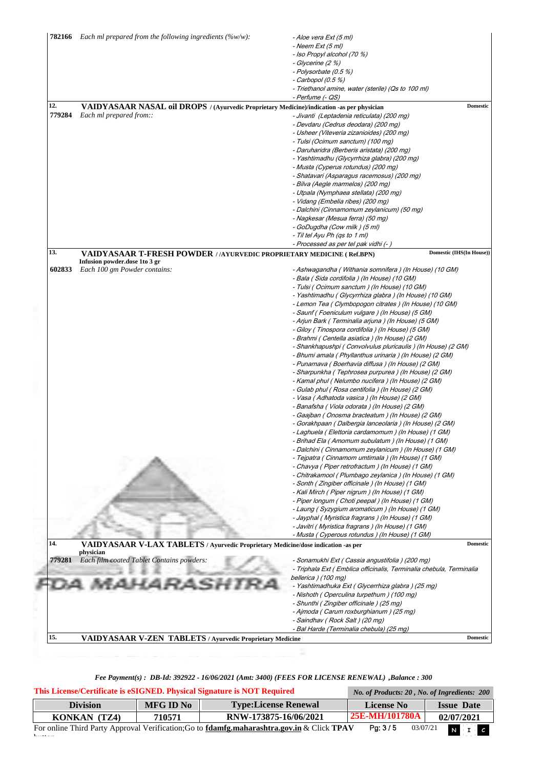| 782166 | Each ml prepared from the following ingredients $(\%w/w)$ :                                    | - Aloe vera Ext (5 ml)<br>- Neem Ext (5 ml)                            |
|--------|------------------------------------------------------------------------------------------------|------------------------------------------------------------------------|
|        |                                                                                                | - Iso Propyl alcohol (70 %)                                            |
|        |                                                                                                |                                                                        |
|        |                                                                                                | - Glycerine (2 %)                                                      |
|        |                                                                                                | - Polysorbate (0.5 %)                                                  |
|        |                                                                                                | $-$ Carbopol (0.5 %)                                                   |
|        |                                                                                                | - Triethanol amine, water (sterile) (Qs to 100 ml)<br>- Perfume (- QS) |
| 12.    | VAIDYASAAR NASAL oil DROPS / (Ayurvedic Proprietary Medicine)/indication -as per physician     | <b>Domestic</b>                                                        |
| 779284 | Each ml prepared from::                                                                        | - Jivanti (Leptadenia reticulata) (200 mg)                             |
|        |                                                                                                | - Devdaru (Cedrus deodara) (200 mg)                                    |
|        |                                                                                                | - Usheer (Viteveria zizanioides) (200 mg)                              |
|        |                                                                                                | - Tulsi (Ocimum sanctum) (100 mg)                                      |
|        |                                                                                                | - Daruharidra (Berberis aristata) (200 mg)                             |
|        |                                                                                                | - Yashtimadhu (Glycyrrhiza glabra) (200 mg)                            |
|        |                                                                                                | - Musta (Cyperus rotundus) (200 mg)                                    |
|        |                                                                                                | - Shatavari (Asparagus racemosus) (200 mg)                             |
|        |                                                                                                | - Bilva (Aegle marmelos) (200 mg)                                      |
|        |                                                                                                | - Utpala (Nymphaea stellata) (200 mg)                                  |
|        |                                                                                                | - Vidang (Embelia ribes) (200 mg)                                      |
|        |                                                                                                | - Dalchini (Cinnamomum zeylanicum) (50 mg)                             |
|        |                                                                                                | - Nagkesar (Mesua ferra) (50 mg)                                       |
|        |                                                                                                | - GoDugdha (Cow milk ) (5 ml)                                          |
|        |                                                                                                | - Til tel Ayu Ph (qs to 1 ml)                                          |
|        |                                                                                                | - Processed as per tel pak vidhi (- )                                  |
| 13.    | VAIDYASAAR T-FRESH POWDER //AYURVEDIC PROPRIETARY MEDICINE (Ref.BPN)                           | Domestic (IHS(In House))                                               |
| 602833 | Infusion powder.dose 1to 3 gr<br>Each 100 gm Powder contains:                                  | - Ashwagandha (Withania somnifera) (In House) (10 GM)                  |
|        |                                                                                                | - Bala (Sida cordifolia) (In House) (10 GM)                            |
|        |                                                                                                | - Tulsi (Ocimum sanctum) (In House) (10 GM)                            |
|        |                                                                                                | - Yashtimadhu ( Glycyrrhiza glabra ) (In House) (10 GM)                |
|        |                                                                                                | - Lemon Tea (Clymbopogon citrates) (In House) (10 GM)                  |
|        |                                                                                                | - Saunf (Foeniculum vulgare ) (In House) (5 GM)                        |
|        |                                                                                                | - Arjun Bark (Terminalia arjuna ) (In House) (5 GM)                    |
|        |                                                                                                | - Giloy (Tinospora cordifolia ) (In House) (5 GM)                      |
|        |                                                                                                | - Brahmi (Centella asiatica ) (In House) (2 GM)                        |
|        |                                                                                                | - Shankhapushpi (Convolvulus pluricaulis) (In House) (2 GM)            |
|        |                                                                                                | - Bhumi amala ( Phyllanthus urinaria ) (In House) (2 GM)               |
|        |                                                                                                | - Punarnava (Boerhavia diffusa ) (In House) (2 GM)                     |
|        |                                                                                                | - Sharpunkha (Tephrosea purpurea ) (In House) (2 GM)                   |
|        |                                                                                                | - Kamal phul (Nelumbo nucifera ) (In House) (2 GM)                     |
|        |                                                                                                | - Gulab phul (Rosa centifolia) (In House) (2 GM)                       |
|        |                                                                                                | - Vasa (Adhatoda vasica ) (In House) (2 GM)                            |
|        |                                                                                                | - Banafsha ( Viola odorata ) (In House) (2 GM)                         |
|        |                                                                                                | - Gaajban (Onosma bracteatum) (In House) (2 GM)                        |
|        |                                                                                                | - Gorakhpaan ( Dalbergia lanceolaria ) (In House) (2 GM)               |
|        |                                                                                                | - Laghuela (Elettoria cardamomum) (In House) (1 GM)                    |
|        |                                                                                                | - Brihad Ela ( Amomum subulatum ) (In House) (1 GM)                    |
|        |                                                                                                | - Dalchini (Cinnamomum zeylanicum ) (In House) (1 GM)                  |
|        |                                                                                                | - Tejpatra ( Cinnamom umtimala ) (In House) (1 GM)                     |
|        |                                                                                                | - Chavya ( Piper retrofractum ) (In House) (1 GM)                      |
|        |                                                                                                | - Chitrakamool (Plumbago zeylanica) (In House) (1 GM)                  |
|        |                                                                                                | - Sonth (Zingiber officinale ) (In House) (1 GM)                       |
|        |                                                                                                | - Kali Mirch (Piper nigrum ) (In House) (1 GM)                         |
|        |                                                                                                | - Piper longum (Choti peepal) (In House) (1 GM)                        |
|        |                                                                                                | - Laung (Syzygium aromaticum) (In House) (1 GM)                        |
|        |                                                                                                | - Jayphal (Myristica fragrans) (In House) (1 GM)                       |
|        |                                                                                                | - Javitri ( Myristica fragrans ) (In House) (1 GM)                     |
|        |                                                                                                | - Musta (Cyperous rotundus) (In House) (1 GM)                          |
| 14.    | VAIDYASAAR V-LAX TABLETS / Ayurvedic Proprietary Medicine/dose indication -as per<br>physician | <b>Domestic</b>                                                        |
|        |                                                                                                | - Sonamukhi Ext ( Cassia angustifolia ) (200 mg)                       |
|        | Each film coated Tablet Contains powders:                                                      |                                                                        |
|        |                                                                                                | - Triphala Ext (Emblica officinalis, Terminalia chebula, Terminalia    |
|        |                                                                                                | bellerica ) (100 mg)                                                   |
|        |                                                                                                | - Yashtimadhuka Ext ( Glycerrhiza glabra ) (25 mg)                     |
|        |                                                                                                | - Nishoth (Operculina turpethum) (100 mg)                              |
|        |                                                                                                | - Shunthi (Zingiber officinale ) (25 mg)                               |
|        |                                                                                                | - Ajmoda ( Carum roxburghianum ) (25 mg)                               |
| 779281 |                                                                                                | - Saindhav (Rock Salt) (20 mg)                                         |
|        |                                                                                                | - Bal Harde (Terminalia chebula) (25 mg)                               |

| This License/Certificate is eSIGNED. Physical Signature is NOT Required                                                                                          | No. of Products: 20, No. of Ingredients: 200 |                             |                   |                   |  |  |
|------------------------------------------------------------------------------------------------------------------------------------------------------------------|----------------------------------------------|-----------------------------|-------------------|-------------------|--|--|
| <b>Division</b>                                                                                                                                                  | <b>MFG ID No</b>                             | <b>Type:License Renewal</b> | <b>License No</b> | <b>Issue Date</b> |  |  |
| KONKAN (TZ4)                                                                                                                                                     | 710571                                       | RNW-173875-16/06/2021       | 25E-MH/101780A    | 02/07/2021        |  |  |
| $N$ $I$ $C$<br>Pg: 3/5<br>03/07/21<br>For online Third Party Approval Verification; Go to <b>fdamfg.maharashtra.gov.in</b> & Click <b>TPAV</b><br>$1 - \epsilon$ |                                              |                             |                   |                   |  |  |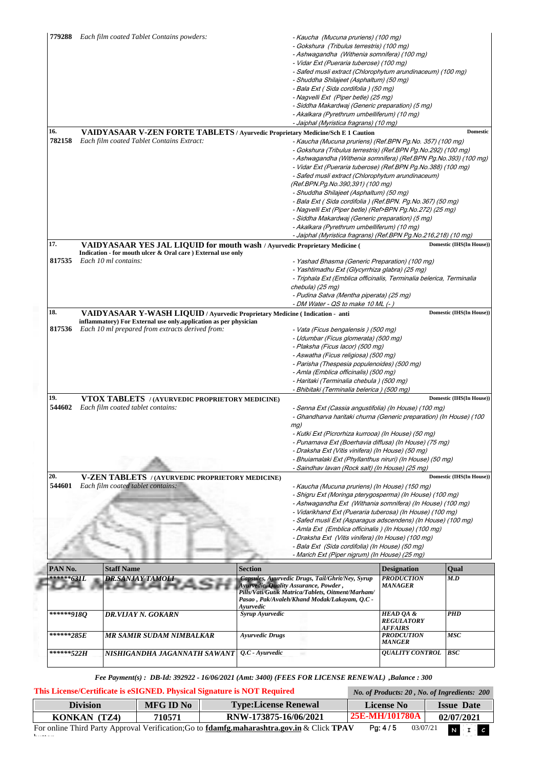|                                                    |  |                                                                                 |                                                                | - Kaucha (Mucuna pruriens) (100 mg)                                  |                                         |                                        |
|----------------------------------------------------|--|---------------------------------------------------------------------------------|----------------------------------------------------------------|----------------------------------------------------------------------|-----------------------------------------|----------------------------------------|
|                                                    |  |                                                                                 |                                                                | - Gokshura (Tribulus terrestris) (100 mg)                            |                                         |                                        |
|                                                    |  |                                                                                 |                                                                | - Ashwagandha (Withenia somnifera) (100 mg)                          |                                         |                                        |
|                                                    |  |                                                                                 |                                                                | - Vidar Ext (Pueraria tuberose) (100 mg)                             |                                         |                                        |
|                                                    |  |                                                                                 |                                                                | - Safed musli extract (Chlorophytum arundinaceum) (100 mg)           |                                         |                                        |
|                                                    |  |                                                                                 |                                                                | - Shuddha Shilajeet (Asphaltum) (50 mg)                              |                                         |                                        |
|                                                    |  |                                                                                 |                                                                | - Bala Ext (Sida cordifolia) (50 mg)                                 |                                         |                                        |
|                                                    |  |                                                                                 |                                                                | - Nagvelli Ext (Piper betle) (25 mg)                                 |                                         |                                        |
|                                                    |  |                                                                                 |                                                                | - Siddha Makardwaj (Generic preparation) (5 mg)                      |                                         |                                        |
|                                                    |  |                                                                                 |                                                                | - Akalkara (Pyrethrum umbelliferum) (10 mg)                          |                                         |                                        |
|                                                    |  |                                                                                 |                                                                | - Jaiphal (Myristica fragrans) (10 mg)                               |                                         |                                        |
| 16.                                                |  | VAIDYASAAR V-ZEN FORTE TABLETS / Ayurvedic Proprietary Medicine/Sch E 1 Caution |                                                                |                                                                      |                                         | <b>Domestic</b>                        |
| 782158                                             |  | Each film coated Tablet Contains Extract:                                       |                                                                | - Kaucha (Mucuna pruriens) (Ref.BPN Pg.No. 357) (100 mg)             |                                         |                                        |
|                                                    |  |                                                                                 |                                                                | - Gokshura (Tribulus terrestris) (Ref.BPN Pg.No.292) (100 mg)        |                                         |                                        |
|                                                    |  |                                                                                 |                                                                | - Ashwagandha (Withenia somnifera) (Ref.BPN Pg.No.393) (100 mg)      |                                         |                                        |
|                                                    |  |                                                                                 |                                                                | - Vidar Ext (Pueraria tuberose) (Ref.BPN Pg.No.388) (100 mg)         |                                         |                                        |
|                                                    |  |                                                                                 |                                                                | - Safed musli extract (Chlorophytum arundinaceum)                    |                                         |                                        |
|                                                    |  |                                                                                 |                                                                | (Ref.BPN.Pg.No.390,391) (100 mg)                                     |                                         |                                        |
|                                                    |  |                                                                                 |                                                                | - Shuddha Shilajeet (Asphaltum) (50 mg)                              |                                         |                                        |
|                                                    |  |                                                                                 |                                                                | - Bala Ext (Sida cordifolia) (Ref.BPN. Pg.No.367) (50 mg)            |                                         |                                        |
|                                                    |  |                                                                                 |                                                                | - Nagvelli Ext (Piper betle) (Ref>BPN Pg.No.272) (25 mg)             |                                         |                                        |
|                                                    |  |                                                                                 |                                                                | - Siddha Makardwaj (Generic preparation) (5 mg)                      |                                         |                                        |
|                                                    |  |                                                                                 |                                                                | - Akalkara (Pyrethrum umbelliferum) (10 mg)                          |                                         |                                        |
|                                                    |  |                                                                                 | - Jaiphal (Myristica fragrans) (Ref.BPN Pg.No.216,218) (10 mg) |                                                                      |                                         |                                        |
| 17.                                                |  | VAIDYASAAR YES JAL LIQUID for mouth wash / Ayurvedic Proprietary Medicine (     |                                                                |                                                                      |                                         | Domestic (IHS(In House))               |
|                                                    |  | Indication - for mouth ulcer & Oral care ) External use only                    |                                                                |                                                                      |                                         |                                        |
| 817535                                             |  | Each 10 ml contains:                                                            |                                                                | - Yashad Bhasma (Generic Preparation) (100 mg)                       |                                         |                                        |
|                                                    |  |                                                                                 |                                                                | - Yashtimadhu Ext (Glycyrrhiza glabra) (25 mg)                       |                                         |                                        |
|                                                    |  |                                                                                 |                                                                | - Triphala Ext (Emblica officinalis, Terminalia belerica, Terminalia |                                         |                                        |
|                                                    |  |                                                                                 |                                                                | chebula) (25 mg)                                                     |                                         |                                        |
|                                                    |  |                                                                                 |                                                                | - Pudina Satva (Mentha piperata) (25 mg)                             |                                         |                                        |
|                                                    |  |                                                                                 |                                                                | - DM Water - QS to make 10 ML (-)                                    |                                         |                                        |
| 18.                                                |  | VAIDYASAAR Y-WASH LIQUID / Ayurvedic Proprietary Medicine (Indication - anti    |                                                                |                                                                      |                                         | Domestic (IHS(In House))               |
|                                                    |  | inflammatory) For External use only.application as per physician                |                                                                |                                                                      |                                         |                                        |
| 817536                                             |  | Each 10 ml prepared from extracts derived from:                                 |                                                                | - Vata (Ficus bengalensis) (500 mg)                                  |                                         |                                        |
|                                                    |  |                                                                                 |                                                                | - Udumbar (Ficus glomerata) (500 mg)                                 |                                         |                                        |
|                                                    |  |                                                                                 |                                                                | - Plaksha (Ficus lacor) (500 mg)                                     |                                         |                                        |
|                                                    |  |                                                                                 |                                                                | - Aswatha (Ficus religiosa) (500 mg)                                 |                                         |                                        |
|                                                    |  |                                                                                 |                                                                |                                                                      |                                         |                                        |
|                                                    |  |                                                                                 |                                                                | - Parisha (Thespesia populenoides) (500 mg)                          |                                         |                                        |
|                                                    |  |                                                                                 |                                                                | - Amla (Emblica officinalis) (500 mg)                                |                                         |                                        |
|                                                    |  |                                                                                 |                                                                | - Haritaki (Terminalia chebula) (500 mg)                             |                                         |                                        |
|                                                    |  |                                                                                 |                                                                | - Bhibitaki (Terminalia belerica ) (500 mg)                          |                                         |                                        |
|                                                    |  | VTOX TABLETS / (AYURVEDIC PROPRIETORY MEDICINE)                                 |                                                                |                                                                      |                                         |                                        |
| 544602                                             |  | Each film coated tablet contains:                                               |                                                                | - Senna Ext (Cassia angustifolia) (In House) (100 mg)                |                                         |                                        |
|                                                    |  |                                                                                 |                                                                | - Ghandharva haritaki churna (Generic preparation) (In House) (100   |                                         | Domestic (IHS(In House))               |
|                                                    |  |                                                                                 |                                                                | mg)                                                                  |                                         |                                        |
|                                                    |  |                                                                                 |                                                                | - Kutki Ext (Picrorhiza kurrooa) (In House) (50 mg)                  |                                         |                                        |
|                                                    |  |                                                                                 |                                                                | - Punarnava Ext (Boerhavia diffusa) (In House) (75 mg)               |                                         |                                        |
| 19.                                                |  |                                                                                 |                                                                | - Draksha Ext (Vitis vinifera) (In House) (50 mg)                    |                                         |                                        |
|                                                    |  |                                                                                 |                                                                | - Bhuiamalaki Ext (Phyllanthus niruri) (In House) (50 mg)            |                                         |                                        |
|                                                    |  |                                                                                 |                                                                | - Saindhav lavan (Rock salt) (In House) (25 mg)                      |                                         |                                        |
|                                                    |  | <b>V-ZEN TABLETS</b> / (AYURVEDIC PROPRIETORY MEDICINE)                         |                                                                |                                                                      |                                         |                                        |
|                                                    |  | Each film coated tablet contains:                                               |                                                                | - Kaucha (Mucuna pruriens) (In House) (150 mg)                       |                                         |                                        |
|                                                    |  |                                                                                 |                                                                | - Shigru Ext (Moringa pterygosperma) (In House) (100 mg)             |                                         |                                        |
|                                                    |  |                                                                                 |                                                                | - Ashwagandha Ext (Withania somnifera) (In House) (100 mg)           |                                         |                                        |
| 544601                                             |  |                                                                                 |                                                                | - Vidarikhand Ext (Pueraria tuberosa) (In House) (100 mg)            |                                         |                                        |
| 20.                                                |  |                                                                                 |                                                                | - Safed musli Ext (Asparagus adscendens) (In House) (100 mg)         |                                         |                                        |
|                                                    |  |                                                                                 |                                                                | - Amla Ext (Emblica officinalis) (In House) (100 mg)                 |                                         |                                        |
|                                                    |  |                                                                                 |                                                                | - Draksha Ext (Vitis vinifera) (In House) (100 mg)                   |                                         |                                        |
|                                                    |  |                                                                                 |                                                                | - Bala Ext (Sida cordifolia) (In House) (50 mg)                      |                                         |                                        |
|                                                    |  |                                                                                 |                                                                | - Marich Ext (Piper nigrum) (In House) (25 mg)                       |                                         |                                        |
|                                                    |  | <b>Staff Name</b>                                                               | <b>Section</b>                                                 |                                                                      | <b>Designation</b>                      | Qual                                   |
|                                                    |  | <b>DR.SANJAY TAMOLI</b>                                                         |                                                                | Capsules, Ayurvedic Drugs, Tail/Ghrit/Ney, Syrup                     | <b>PRODUCTION</b>                       | M.D                                    |
|                                                    |  |                                                                                 |                                                                | Ayurvedic, Quality Assurance, Powder,                                | MANAGER                                 |                                        |
|                                                    |  |                                                                                 |                                                                | Pills/Vati/Gutik Matrica/Tablets, Oitment/Marham/                    |                                         |                                        |
|                                                    |  |                                                                                 |                                                                | Pasao, Pak/Avaleh/Khand Modak/Lakayam, Q.C -                         |                                         |                                        |
|                                                    |  |                                                                                 | Avurvedic<br>Syrup Ayurvedic                                   |                                                                      | <b>HEAD QA &amp;</b>                    | <b>PHD</b>                             |
|                                                    |  | DR.VIJAY N. GOKARN                                                              |                                                                |                                                                      | <b>REGULATORY</b>                       |                                        |
|                                                    |  |                                                                                 |                                                                |                                                                      | <i><b>AFFAIRS</b></i>                   |                                        |
| PAN No.<br>******631L<br>******9180<br>*******285E |  | MR SAMIR SUDAM NIMBALKAR                                                        | <b>Ayurvedic Drugs</b>                                         |                                                                      | <b>PRODCUTION</b>                       | Domestic (IHS(In House))<br><b>MSC</b> |
| ******522H                                         |  | NISHIGANDHA JAGANNATH SAWANT                                                    | $Q.C$ - Ayurvedic                                              |                                                                      | <b>MANGER</b><br><b>QUALITY CONTROL</b> | <b>BSC</b>                             |

| This License/Certificate is eSIGNED. Physical Signature is NOT Required | No. of Products: 20, No. of Ingredients: 200 |                                                                                                          |                     |                   |
|-------------------------------------------------------------------------|----------------------------------------------|----------------------------------------------------------------------------------------------------------|---------------------|-------------------|
| <b>Division</b>                                                         | <b>MFG ID No</b>                             | <b>Type:License Renewal</b>                                                                              | <b>License No</b>   | <b>Issue Date</b> |
| KONKAN (TZ4)                                                            | 710571                                       | RNW-173875-16/06/2021                                                                                    | 25E-MH/101780A      | 02/07/2021        |
| $1 - \epsilon$                                                          |                                              | For online Third Party Approval Verification; Go to <b>fdamfg.maharashtra.gov.in</b> & Click <b>TPAV</b> | Pa: 4/5<br>03/07/21 | $N$ $\Box$ $c$    |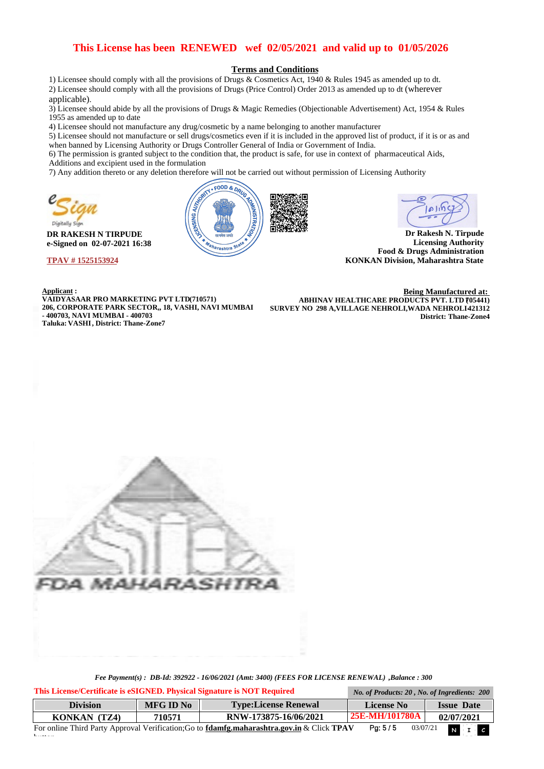### **This License has been RENEWED wef 02/05/2021 and valid up to 01/05/2026**

#### **Terms and Conditions**

1) Licensee should comply with all the provisions of Drugs & Cosmetics Act, 1940 & Rules 1945 as amended up to dt. 2) Licensee should comply with all the provisions of Drugs (Price Control) Order 2013 as amended up to dt (wherever applicable).

3) Licensee should abide by all the provisions of Drugs & Magic Remedies (Objectionable Advertisement) Act, 1954 & Rules 1955 as amended up to date

4) Licensee should not manufacture any drug/cosmetic by a name belonging to another manufacturer

5) Licensee should not manufacture or sell drugs/cosmetics even if it is included in the approved list of product, if it is or as and when banned by Licensing Authority or Drugs Controller General of India or Government of India.

6) The permission is granted subject to the condition that, the product is safe, for use in context of pharmaceutical Aids, Additions and excipient used in the formulation

7) Any addition thereto or any deletion therefore will not be carried out without permission of Licensing Authority



**DR RAKESH N TIRPUDE e-Signed on 02-07-2021 16:38** 

**TPAV # 1525153924** 

 $\mathbf{b}$ 



کارها

**Dr Rakesh N. Tirpude Licensing Authority Food & Drugs Administration KONKAN Division, Maharashtra State** 

**Applicant : VAIDYASAAR PRO MARKETING PVT LTD(710571) 206, CORPORATE PARK SECTOR,, 18, VASHI, NAVI MUMBAI - 400703, NAVI MUMBAI - 400703 Taluka: VASHI , District: Thane-Zone7**

**Being Manufactured at: ABHINAV HEALTHCARE PRODUCTS PVT. LTD 705441) SURVEY NO 298 A,VILLAGE NEHROLI,WADA NEHROLI-421312 District: Thane-Zone4**



| This License/Certificate is eSIGNED. Physical Signature is NOT Required |                 |           |                                                                                                          | No. of Products: 20, No. of Ingredients: 200 |                         |
|-------------------------------------------------------------------------|-----------------|-----------|----------------------------------------------------------------------------------------------------------|----------------------------------------------|-------------------------|
|                                                                         | <b>Division</b> | MFG ID No | <b>Type:License Renewal</b>                                                                              | License No                                   | <b>Issue Date</b>       |
|                                                                         | KONKAN (TZ4)    | 710571    | RNW-173875-16/06/2021                                                                                    | <b>25E-MH/101780A</b>                        | 02/07/2021              |
|                                                                         |                 |           | For online Third Party Approval Verification; Go to <b>fdamfg.maharashtra.gov.in</b> & Click <b>TPAV</b> | Pa: 5/5                                      | $N$ $I$ $C$<br>03/07/21 |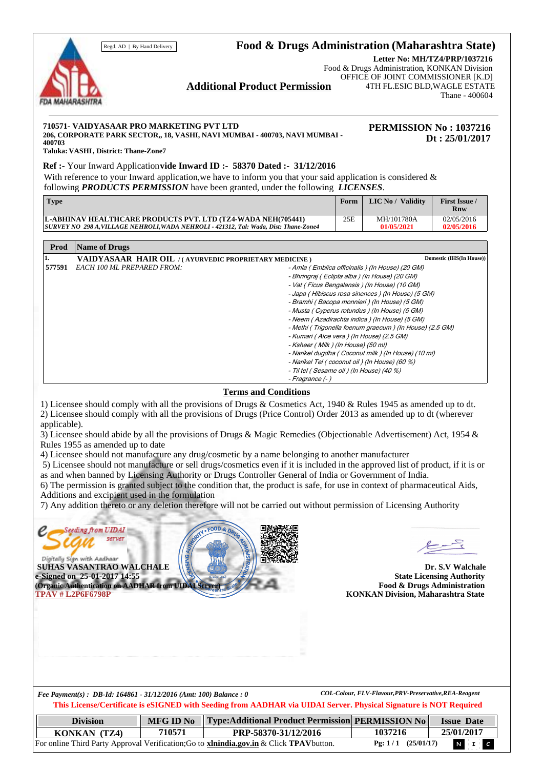## Regd. AD | By Hand Delivery **Food & Drugs Administration (Maharashtra State)**



**Letter No: MH/TZ4/PRP/1037216** Food & Drugs Administration, KONKAN Division OFFICE OF JOINT COMMISSIONER [K.D] 4TH FL.ESIC BLD,WAGLE ESTATE Thane - 400604

# **Additional Product Permission**

#### **710571- VAIDYASAAR PRO MARKETING PVT LTD**

**206, CORPORATE PARK SECTOR,, 18, VASHI, NAVI MUMBAI - 400703, NAVI MUMBAI - 400703**

**PERMISSION No : 1037216 Dt : 25/01/2017**

**Taluka: VASHI , District: Thane-Zone7**

#### **Ref :-** Your Inward Application **vide Inward ID :- 58370 Dated :- 31/12/2016**

With reference to your Inward application, we have to inform you that your said application is considered  $\&$ following *PRODUCTS PERMISSION* have been granted, under the following *LICENSES*.

| <b>Type</b>                                                                         | Form | LIC No / Validity | <b>First Issue /</b><br>Rnw |
|-------------------------------------------------------------------------------------|------|-------------------|-----------------------------|
| L-ABHINAV HEALTHCARE PRODUCTS PVT. LTD (TZ4-WADA NEH(705441)                        | 25E  | MH/101780A        | 02/05/2016                  |
| SURVEY NO 298 A.VILLAGE NEHROLI.WADA NEHROLI - 421312. Tal: Wada. Dist: Thane-Zone4 |      | 01/05/2021        | 02/05/2016                  |

| Prod   | <b>Name of Drugs</b>                                                                   |                          |
|--------|----------------------------------------------------------------------------------------|--------------------------|
| ı.     | VAIDYASAAR HAIR OIL //AYURVEDIC PROPRIETARY MEDICINE)                                  | Domestic (IHS(In House)) |
| 577591 | <b>EACH 100 ML PREPARED FROM:</b><br>- Amla ( Emblica officinalis ) (In House) (20 GM) |                          |
|        | - Bhringraj ( Eclipta alba ) (In House) (20 GM)                                        |                          |
|        | - Vat (Ficus Bengalensis) (In House) (10 GM)                                           |                          |
|        | - Japa (Hibiscus rosa sinences) (In House) (5 GM)                                      |                          |
|        | - Bramhi ( Bacopa monnieri ) (In House) (5 GM)                                         |                          |
|        | - Musta ( Cyperus rotundus ) (In House) (5 GM)                                         |                          |
|        | - Neem (Azadirachta indica) (In House) (5 GM)                                          |                          |
|        | - Methi (Trigonella foenum graecum) (In House) (2.5 GM)                                |                          |
|        | - Kumari (Aloe vera ) (In House) (2.5 GM)                                              |                          |
|        | - Ksheer ( Milk ) (In House) (50 ml)                                                   |                          |
|        | - Narikel dugdha (Coconut milk) (In House) (10 ml)                                     |                          |
|        | - Narikel Tel (coconut oil) (In House) (60 %)                                          |                          |
|        | - Til tel (Sesame oil) (In House) (40 %)                                               |                          |
|        | - Fragrance (- )                                                                       |                          |

### **Terms and Conditions**

1) Licensee should comply with all the provisions of Drugs & Cosmetics Act, 1940 & Rules 1945 as amended up to dt. 2) Licensee should comply with all the provisions of Drugs (Price Control) Order 2013 as amended up to dt (wherever applicable).

3) Licensee should abide by all the provisions of Drugs & Magic Remedies (Objectionable Advertisement) Act, 1954 & Rules 1955 as amended up to date

4) Licensee should not manufacture any drug/cosmetic by a name belonging to another manufacturer

 5) Licensee should not manufacture or sell drugs/cosmetics even if it is included in the approved list of product, if it is or as and when banned by Licensing Authority or Drugs Controller General of India or Government of India.

6) The permission is granted subject to the condition that, the product is safe, for use in context of pharmaceutical Aids, Additions and excipient used in the formulation

7) Any addition thereto or any deletion therefore will not be carried out without permission of Licensing Authority



**Dr. S.V Walchale State Licensing Authority Food & Drugs Administration KONKAN Division, Maharashtra State** 

**This License/Certificate is eSIGNED with Seeding from AADHAR via UIDAI Server. Physical Signature is NOT Required** *Fee Payment(s) : DB-Id: 164861 - 31/12/2016 (Amt: 100) Balance : 0 COL-Colour, FLV-Flavour,PRV-Preservative,REA-Reagent* 

| <b>Division</b> | <b>MFG ID No</b> | <b>Type:Additional Product Permission PERMISSION No</b>                                                |                      | <b>Issue Date</b>    |
|-----------------|------------------|--------------------------------------------------------------------------------------------------------|----------------------|----------------------|
| KONKAN (TZ4)    | 710571           | PRP-58370-31/12/2016                                                                                   | 1037216              | 25/01/2017           |
|                 |                  | For online Third Party Approval Verification; Go to <b>xinindia.gov.in</b> & Click <b>TPAV</b> button. | $Pg: 1/1$ (25/01/17) | $N$ $\mathbf{F}$ $c$ |